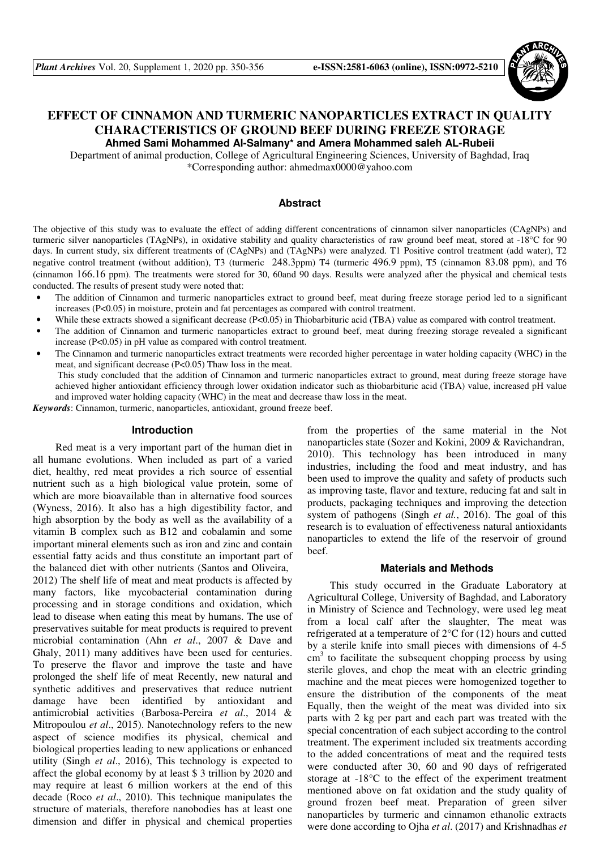

# **EFFECT OF CINNAMON AND TURMERIC NANOPARTICLES EXTRACT IN QUALITY CHARACTERISTICS OF GROUND BEEF DURING FREEZE STORAGE Ahmed Sami Mohammed Al-Salmany\* and Amera Mohammed saleh AL-Rubeii**

Department of animal production, College of Agricultural Engineering Sciences, University of Baghdad, Iraq \*Corresponding author: ahmedmax0000@yahoo.com

#### **Abstract**

The objective of this study was to evaluate the effect of adding different concentrations of cinnamon silver nanoparticles (CAgNPs) and turmeric silver nanoparticles (TAgNPs), in oxidative stability and quality characteristics of raw ground beef meat, stored at -18°C for 90 days. In current study, six different treatments of (CAgNPs) and (TAgNPs) were analyzed. T1 Positive control treatment (add water), T2 negative control treatment (without addition), T3 (turmeric 248.3ppm) T4 (turmeric 496.9 ppm), T5 (cinnamon 83.08 ppm), and T6 (cinnamon 166.16 ppm). The treatments were stored for 30, 60and 90 days. Results were analyzed after the physical and chemical tests conducted. The results of present study were noted that:

- The addition of Cinnamon and turmeric nanoparticles extract to ground beef, meat during freeze storage period led to a significant increases (P<0.05) in moisture, protein and fat percentages as compared with control treatment.
- While these extracts showed a significant decrease (P<0.05) in Thiobarbituric acid (TBA) value as compared with control treatment.
- The addition of Cinnamon and turmeric nanoparticles extract to ground beef, meat during freezing storage revealed a significant increase (P<0.05) in pH value as compared with control treatment.
- The Cinnamon and turmeric nanoparticles extract treatments were recorded higher percentage in water holding capacity (WHC) in the meat, and significant decrease (P<0.05) Thaw loss in the meat.

 This study concluded that the addition of Cinnamon and turmeric nanoparticles extract to ground, meat during freeze storage have achieved higher antioxidant efficiency through lower oxidation indicator such as thiobarbituric acid (TBA) value, increased pH value and improved water holding capacity (WHC) in the meat and decrease thaw loss in the meat.

*Keywords*: Cinnamon, turmeric, nanoparticles, antioxidant, ground freeze beef.

#### **Introduction**

Red meat is a very important part of the human diet in all humane evolutions. When included as part of a varied diet, healthy, red meat provides a rich source of essential nutrient such as a high biological value protein, some of which are more bioavailable than in alternative food sources (Wyness, 2016). It also has a high digestibility factor, and high absorption by the body as well as the availability of a vitamin B complex such as B12 and cobalamin and some important mineral elements such as iron and zinc and contain essential fatty acids and thus constitute an important part of the balanced diet with other nutrients (Santos and Oliveira, 2012) The shelf life of meat and meat products is affected by many factors, like mycobacterial contamination during processing and in storage conditions and oxidation, which lead to disease when eating this meat by humans. The use of preservatives suitable for meat products is required to prevent microbial contamination (Ahn *et al*., 2007 & Dave and Ghaly, 2011) many additives have been used for centuries. To preserve the flavor and improve the taste and have prolonged the shelf life of meat Recently, new natural and synthetic additives and preservatives that reduce nutrient damage have been identified by antioxidant and antimicrobial activities (Barbosa-Pereira *et al*., 2014 & Mitropoulou *et al*., 2015). Nanotechnology refers to the new aspect of science modifies its physical, chemical and biological properties leading to new applications or enhanced utility (Singh *et al*., 2016), This technology is expected to affect the global economy by at least \$ 3 trillion by 2020 and may require at least 6 million workers at the end of this decade (Roco *et al*., 2010). This technique manipulates the structure of materials, therefore nanobodies has at least one dimension and differ in physical and chemical properties

from the properties of the same material in the Not nanoparticles state (Sozer and Kokini, 2009 & Ravichandran, 2010). This technology has been introduced in many industries, including the food and meat industry, and has been used to improve the quality and safety of products such as improving taste, flavor and texture, reducing fat and salt in products, packaging techniques and improving the detection system of pathogens (Singh *et al.*, 2016). The goal of this research is to evaluation of effectiveness natural antioxidants nanoparticles to extend the life of the reservoir of ground beef.

### **Materials and Methods**

This study occurred in the Graduate Laboratory at Agricultural College, University of Baghdad, and Laboratory in Ministry of Science and Technology, were used leg meat from a local calf after the slaughter, The meat was refrigerated at a temperature of 2°C for (12) hours and cutted by a sterile knife into small pieces with dimensions of 4-5  $\text{cm}^3$  to facilitate the subsequent chopping process by using sterile gloves, and chop the meat with an electric grinding machine and the meat pieces were homogenized together to ensure the distribution of the components of the meat Equally, then the weight of the meat was divided into six parts with 2 kg per part and each part was treated with the special concentration of each subject according to the control treatment. The experiment included six treatments according to the added concentrations of meat and the required tests were conducted after 30, 60 and 90 days of refrigerated storage at -18°C to the effect of the experiment treatment mentioned above on fat oxidation and the study quality of ground frozen beef meat. Preparation of green silver nanoparticles by turmeric and cinnamon ethanolic extracts were done according to Ojha *et al*. (2017) and Krishnadhas *et*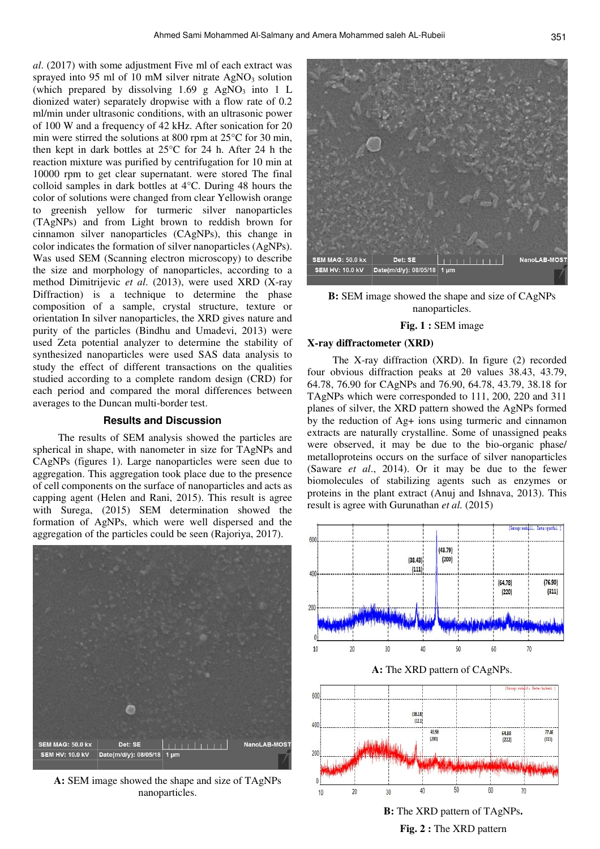*al*. (2017) with some adjustment Five ml of each extract was sprayed into 95 ml of 10 mM silver nitrate  $AgNO<sub>3</sub>$  solution (which prepared by dissolving  $1.69$  g AgNO<sub>3</sub> into 1 L dionized water) separately dropwise with a flow rate of 0.2 ml/min under ultrasonic conditions, with an ultrasonic power of 100 W and a frequency of 42 kHz. After sonication for 20 min were stirred the solutions at 800 rpm at 25°C for 30 min, then kept in dark bottles at 25°C for 24 h. After 24 h the reaction mixture was purified by centrifugation for 10 min at 10000 rpm to get clear supernatant. were stored The final colloid samples in dark bottles at 4°C. During 48 hours the color of solutions were changed from clear Yellowish orange to greenish yellow for turmeric silver nanoparticles (TAgNPs) and from Light brown to reddish brown for cinnamon silver nanoparticles (CAgNPs), this change in color indicates the formation of silver nanoparticles (AgNPs). Was used SEM (Scanning electron microscopy) to describe the size and morphology of nanoparticles, according to a method Dimitrijevic *et al*. (2013), were used XRD (X-ray Diffraction) is a technique to determine the phase composition of a sample, crystal structure, texture or orientation In silver nanoparticles, the XRD gives nature and purity of the particles (Bindhu and Umadevi, 2013) were used Zeta potential analyzer to determine the stability of synthesized nanoparticles were used SAS data analysis to study the effect of different transactions on the qualities studied according to a complete random design (CRD) for each period and compared the moral differences between averages to the Duncan multi-border test.

#### **Results and Discussion**

 The results of SEM analysis showed the particles are spherical in shape, with nanometer in size for TAgNPs and CAgNPs (figures 1). Large nanoparticles were seen due to aggregation. This aggregation took place due to the presence of cell components on the surface of nanoparticles and acts as capping agent (Helen and Rani, 2015). This result is agree with Surega, (2015) SEM determination showed the formation of AgNPs, which were well dispersed and the aggregation of the particles could be seen (Rajoriya, 2017).



**A:** SEM image showed the shape and size of TAgNPs nanoparticles.



**B:** SEM image showed the shape and size of CAgNPs nanoparticles.

### **Fig. 1 :** SEM image

## **X-ray diffractometer (XRD)**

 The X-ray diffraction (XRD). In figure (2) recorded four obvious diffraction peaks at 2θ values 38.43, 43.79, 64.78, 76.90 for CAgNPs and 76.90, 64.78, 43.79, 38.18 for TAgNPs which were corresponded to 111, 200, 220 and 311 planes of silver, the XRD pattern showed the AgNPs formed by the reduction of Ag+ ions using turmeric and cinnamon extracts are naturally crystalline. Some of unassigned peaks were observed, it may be due to the bio-organic phase/ metalloproteins occurs on the surface of silver nanoparticles (Saware *et al*., 2014). Or it may be due to the fewer biomolecules of stabilizing agents such as enzymes or proteins in the plant extract (Anuj and Ishnava, 2013). This result is agree with Gurunathan *et al.* (2015)



**B:** The XRD pattern of TAgNPs**. Fig. 2 :** The XRD pattern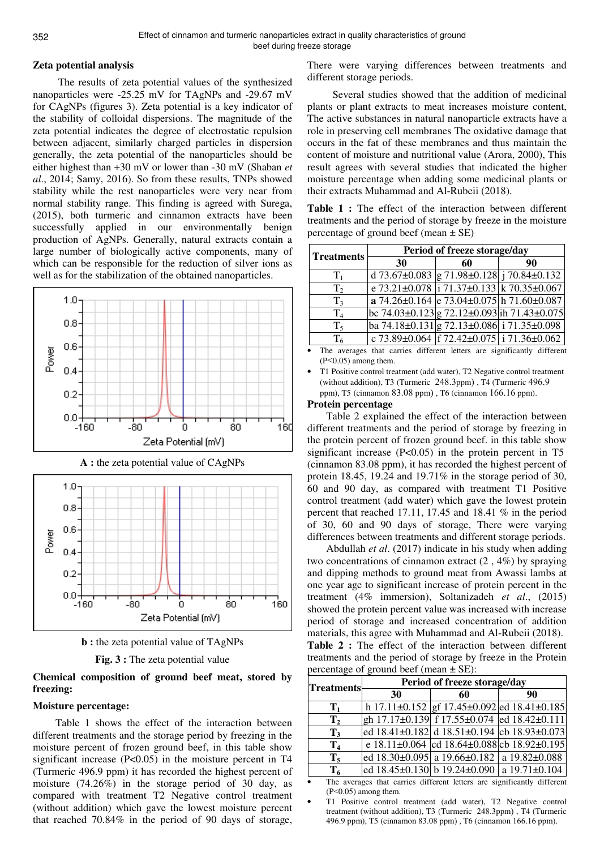### **Zeta potential analysis**

 The results of zeta potential values of the synthesized nanoparticles were -25.25 mV for TAgNPs and -29.67 mV for CAgNPs (figures 3). Zeta potential is a key indicator of the stability of colloidal dispersions. The magnitude of the zeta potential indicates the degree of electrostatic repulsion between adjacent, similarly charged particles in dispersion generally, the zeta potential of the nanoparticles should be either highest than +30 mV or lower than -30 mV (Shaban *et al*., 2014; Samy, 2016). So from these results, TNPs showed stability while the rest nanoparticles were very near from normal stability range. This finding is agreed with Surega, (2015), both turmeric and cinnamon extracts have been successfully applied in our environmentally benign production of AgNPs. Generally, natural extracts contain a large number of biologically active components, many of which can be responsible for the reduction of silver ions as well as for the stabilization of the obtained nanoparticles.



**A :** the zeta potential value of CAgNPs







# **Chemical composition of ground beef meat, stored by freezing:**

### **Moisture percentage:**

Table 1 shows the effect of the interaction between different treatments and the storage period by freezing in the moisture percent of frozen ground beef, in this table show significant increase (P<0.05) in the moisture percent in T4 (Turmeric 496.9 ppm) it has recorded the highest percent of moisture (74.26%) in the storage period of 30 day, as compared with treatment T2 Negative control treatment (without addition) which gave the lowest moisture percent that reached 70.84% in the period of 90 days of storage,

There were varying differences between treatments and different storage periods.

 Several studies showed that the addition of medicinal plants or plant extracts to meat increases moisture content, The active substances in natural nanoparticle extracts have a role in preserving cell membranes The oxidative damage that occurs in the fat of these membranes and thus maintain the content of moisture and nutritional value (Arora, 2000), This result agrees with several studies that indicated the higher moisture percentage when adding some medicinal plants or their extracts Muhammad and Al-Rubeii (2018).

**Table 1 :** The effect of the interaction between different treatments and the period of storage by freeze in the moisture percentage of ground beef (mean  $\pm$  SE)

| <b>Treatments</b> | Period of freeze storage/day                                                    |    |                                                           |
|-------------------|---------------------------------------------------------------------------------|----|-----------------------------------------------------------|
|                   | 30                                                                              | 60 | 90                                                        |
| $T_1$             | d 73.67±0.083 $ g 71.98 \pm 0.128$ j 70.84±0.132                                |    |                                                           |
| $T_{2}$           | e $73.21 \pm 0.078$ i $71.37 \pm 0.133$ k $70.35 \pm 0.067$                     |    |                                                           |
| $T_3$             | a 74.26±0.164 e 73.04±0.075 h 71.60±0.087                                       |    |                                                           |
| T <sub>4</sub>    | bc 74.03±0.123 g 72.12±0.093 ih 71.43±0.075                                     |    |                                                           |
| $T_5$             | ba 74.18±0.131 $\left  \frac{g}{22.13}$ ±0.086 $\left  \frac{1}{171.35}$ ±0.098 |    |                                                           |
| T <sub>6</sub>    |                                                                                 |    | c 73.89±0.064   $\frac{1}{2}$ 72.42±0.075   i 71.36±0.062 |

The averages that carries different letters are significantly different (P<0.05) among them.

• T1 Positive control treatment (add water), T2 Negative control treatment (without addition), T3 (Turmeric  $248.3$ ppm), T4 (Turmeric  $496.9$ ppm), T5 (cinnamon 83.08 ppm), T6 (cinnamon 166.16 ppm).

#### **Protein percentage**

Table 2 explained the effect of the interaction between different treatments and the period of storage by freezing in the protein percent of frozen ground beef. in this table show significant increase  $(P<0.05)$  in the protein percent in T5 (cinnamon 83.08 ppm), it has recorded the highest percent of protein 18.45, 19.24 and 19.71% in the storage period of 30, 60 and 90 day, as compared with treatment T1 Positive control treatment (add water) which gave the lowest protein percent that reached 17.11, 17.45 and 18.41 % in the period of 30, 60 and 90 days of storage, There were varying differences between treatments and different storage periods.

Abdullah *et al*. (2017) indicate in his study when adding two concentrations of cinnamon extract (2 , 4%) by spraying and dipping methods to ground meat from Awassi lambs at one year age to significant increase of protein percent in the treatment (4% immersion), Soltanizadeh *et al*., (2015) showed the protein percent value was increased with increase period of storage and increased concentration of addition materials, this agree with Muhammad and Al-Rubeii (2018). **Table 2 :** The effect of the interaction between different treatments and the period of storage by freeze in the Protein percentage of ground beef (mean  $+$  SE) $\cdot$ 

| <b>Treatments</b> | Period of freeze storage/day                           |    |                                             |
|-------------------|--------------------------------------------------------|----|---------------------------------------------|
|                   | 30                                                     | 60 | 90                                          |
| $\mathbf{T}_1$    |                                                        |    | h 17.11±0.152 gf 17.45±0.092 ed 18.41±0.185 |
| $\mathbf{T}_2$    | gh 17.17±0.139 f 17.55±0.074 ed 18.42±0.111            |    |                                             |
| $T_3$             | ed 18.41±0.182 d 18.51±0.194 cb 18.93±0.073            |    |                                             |
| $\mathbf{T}_4$    |                                                        |    | e 18.11±0.064 cd 18.64±0.088 cb 18.92±0.195 |
| $T_5$             | ed $18.30\pm0.095$ a $19.66\pm0.182$ a $19.82\pm0.088$ |    |                                             |
| $T_6$             | ed $18.45\pm0.130$ b $19.24\pm0.090$ a $19.71\pm0.104$ |    |                                             |

The averages that carries different letters are significantly different (P<0.05) among them.

• T1 Positive control treatment (add water), T2 Negative control treatment (without addition), T3 (Turmeric 248.3ppm), T4 (Turmeric 496.9 ppm), T5 (cinnamon 83.08 ppm ) , T6 (cinnamon 166.16 ppm).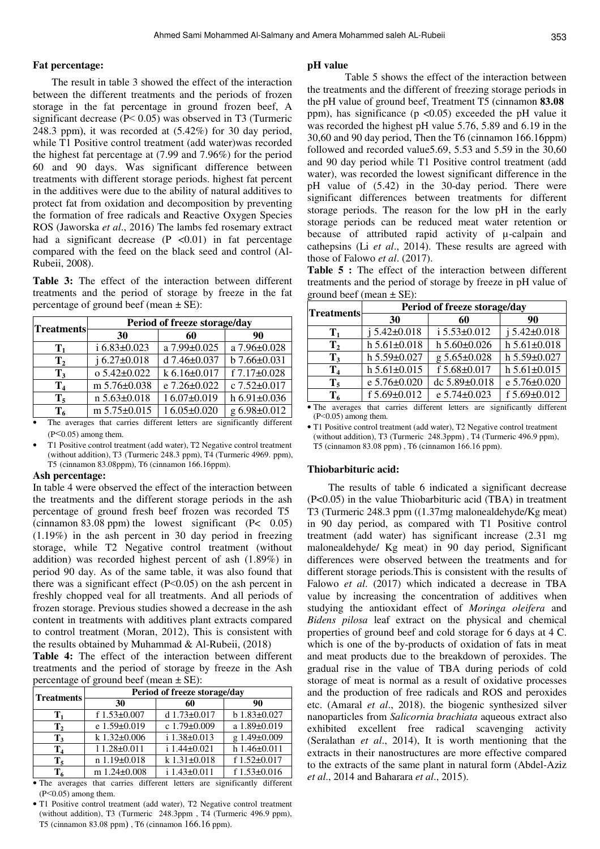#### **Fat percentage:**

The result in table 3 showed the effect of the interaction between the different treatments and the periods of frozen storage in the fat percentage in ground frozen beef, A significant decrease (P< 0.05) was observed in T3 (Turmeric 248.3 ppm), it was recorded at (5.42%) for 30 day period, while T1 Positive control treatment (add water)was recorded the highest fat percentage at (7.99 and 7.96%) for the period 60 and 90 days. Was significant difference between treatments with different storage periods. highest fat percent in the additives were due to the ability of natural additives to protect fat from oxidation and decomposition by preventing the formation of free radicals and Reactive Oxygen Species ROS (Jaworska *et al*., 2016) The lambs fed rosemary extract had a significant decrease  $(P \le 0.01)$  in fat percentage compared with the feed on the black seed and control (Al-Rubeii, 2008).

**Table 3:** The effect of the interaction between different treatments and the period of storage by freeze in the fat percentage of ground beef (mean  $\pm$  SE):

| <b>Treatments</b> | Period of freeze storage/day |                    |                    |
|-------------------|------------------------------|--------------------|--------------------|
|                   | 30                           | 60                 | 90                 |
| $\mathbf{T}_1$    | $i 6.83 \pm 0.023$           | a 7.99±0.025       | a 7.96±0.028       |
| $\mathbf{T}_2$    | $i 6.27 \pm 0.018$           | d $7.46 \pm 0.037$ | $b 7.66 \pm 0.031$ |
| $\mathbf{T}_3$    | $o$ 5.42 $\pm$ 0.022         | $k$ 6.16±0.017     | f 7.17±0.028       |
| $\mathbf{T}_4$    | m 5.76±0.038                 | e 7.26±0.022       | c 7.52±0.017       |
| $T_5$             | $n 5.63 \pm 0.018$           | 16.07±0.019        | $h\,6.91\pm0.036$  |
| $T_{\kappa}$      | m 5.75±0.015                 | 16.05±0.020        | g 6.98±0.012       |

The averages that carries different letters are significantly different  $(P<0.05)$  among them.

• T1 Positive control treatment (add water), T2 Negative control treatment (without addition), T3 (Turmeric 248.3 ppm), T4 (Turmeric 4969. ppm), T5 (cinnamon 83.08ppm), T6 (cinnamon 166.16ppm).

#### **Ash percentage:**

In table 4 were observed the effect of the interaction between the treatments and the different storage periods in the ash percentage of ground fresh beef frozen was recorded T5 (cinnamon 83.08 ppm) the lowest significant  $(P< 0.05)$ (1.19%) in the ash percent in 30 day period in freezing storage, while T2 Negative control treatment (without addition) was recorded highest percent of ash (1.89%) in period 90 day. As of the same table, it was also found that there was a significant effect  $(P<0.05)$  on the ash percent in freshly chopped veal for all treatments. And all periods of frozen storage. Previous studies showed a decrease in the ash content in treatments with additives plant extracts compared to control treatment (Moran, 2012), This is consistent with the results obtained by Muhammad & Al-Rubeii, (2018)

**Table 4:** The effect of the interaction between different treatments and the period of storage by freeze in the Ash percentage of ground beef (mean  $\pm$  SE):

| <b>Treatments</b> | Period of freeze storage/day |                      |                      |
|-------------------|------------------------------|----------------------|----------------------|
|                   | 30                           | 60                   | 90                   |
| $\mathbf{T}_1$    | f $1.53 \pm 0.007$           | d $1.73 \pm 0.017$   | $b$ 1.83 $\pm$ 0.027 |
| $\mathbf{T}_2$    | e $1.59 \pm 0.019$           | c $1.79 \pm 0.009$   | a 1.89±0.019         |
| $\mathbf{T}_3$    | $k$ 1.32 $\pm$ 0.006         | i 1.38±0.013         | g 1.49±0.009         |
| T <sub>4</sub>    | $11.28 \pm 0.011$            | $i$ 1.44 $\pm$ 0.021 | $h$ 1.46 $\pm$ 0.011 |
| $\mathbf{T}_{5}$  | $n 1.19 \pm 0.018$           | $k 1.31 \pm 0.018$   | f $1.52 \pm 0.017$   |
| $\mathbf{T_6}$    | m $1.24 \pm 0.008$           | $i$ 1.43 $\pm$ 0.011 | f $1.53 \pm 0.016$   |
|                   |                              |                      |                      |

• The averages that carries different letters are significantly different  $(P<0.05)$  among them.

• T1 Positive control treatment (add water), T2 Negative control treatment (without addition), T3 (Turmeric 248.3ppm , T4 (Turmeric 496.9 ppm), T5 (cinnamon 83.08 ppm), T6 (cinnamon 166.16 ppm).

#### **pH value**

 Table 5 shows the effect of the interaction between the treatments and the different of freezing storage periods in the pH value of ground beef, Treatment T5 (cinnamon 83.08 ppm), has significance ( $p < 0.05$ ) exceeded the pH value it was recorded the highest pH value 5.76, 5.89 and 6.19 in the 30,60 and 90 day period, Then the T6 (cinnamon 166.16ppm) followed and recorded value5.69, 5.53 and 5.59 in the 30,60 and 90 day period while T1 Positive control treatment (add water), was recorded the lowest significant difference in the pH value of (5.42) in the 30-day period. There were significant differences between treatments for different storage periods. The reason for the low pH in the early storage periods can be reduced meat water retention or because of attributed rapid activity of µ-calpain and cathepsins (Li *et al*., 2014). These results are agreed with those of Falowo *et al*. (2017).

**Table 5 :** The effect of the interaction between different treatments and the period of storage by freeze in pH value of ground beef (mean  $\pm$  SE):

| <b>Treatments</b> | Period of freeze storage/day |                    |                      |
|-------------------|------------------------------|--------------------|----------------------|
|                   | 30                           | 60                 | 90                   |
| $\mathbf{T}_1$    | $i 5.42 \pm 0.018$           | $i 5.53 \pm 0.012$ | $i 5.42 \pm 0.018$   |
| $\mathbf{T}_2$    | $h 5.61 \pm 0.018$           | $h 5.60 \pm 0.026$ | $h$ 5.61 $\pm$ 0.018 |
| $T_3$             | $h 5.59 \pm 0.027$           | $g 5.65 \pm 0.028$ | h $5.59 \pm 0.027$   |
| $\mathbf{T}_4$    | $h 5.61 \pm 0.015$           | f 5.68±0.017       | $h 5.61 \pm 0.015$   |
| $T_5$             | e 5.76±0.020                 | dc 5.89±0.018      | e 5.76±0.020         |
| $T_6$             | f $5.69 \pm 0.012$           | e 5.74±0.023       | f 5.69±0.012         |

• The averages that carries different letters are significantly different (P<0.05) among them.

• T1 Positive control treatment (add water), T2 Negative control treatment (without addition), T3 (Turmeric 248.3ppm), T4 (Turmeric 496.9 ppm), T5 (cinnamon 83.08 ppm), T6 (cinnamon 166.16 ppm).

#### **Thiobarbituric acid:**

 The results of table 6 indicated a significant decrease (P<0.05) in the value Thiobarbituric acid (TBA) in treatment T3 (Turmeric 248.3 ppm ((1.37mg malonealdehyde/Kg meat) in 90 day period, as compared with T1 Positive control treatment (add water) has significant increase (2.31 mg malonealdehyde/ Kg meat) in 90 day period, Significant differences were observed between the treatments and for different storage periods.This is consistent with the results of Falowo *et al*. (2017) which indicated a decrease in TBA value by increasing the concentration of additives when studying the antioxidant effect of *Moringa oleifera* and *Bidens pilosa* leaf extract on the physical and chemical properties of ground beef and cold storage for 6 days at 4 C. which is one of the by-products of oxidation of fats in meat and meat products due to the breakdown of peroxides. The gradual rise in the value of TBA during periods of cold storage of meat is normal as a result of oxidative processes and the production of free radicals and ROS and peroxides etc. (Amaral *et al*., 2018). the biogenic synthesized silver nanoparticles from *Salicornia brachiata* aqueous extract also exhibited excellent free radical scavenging activity (Seralathan *et al*., 2014), It is worth mentioning that the extracts in their nanostructures are more effective compared to the extracts of the same plant in natural form (Abdel-Aziz *et al*., 2014 and Baharara *et al*., 2015).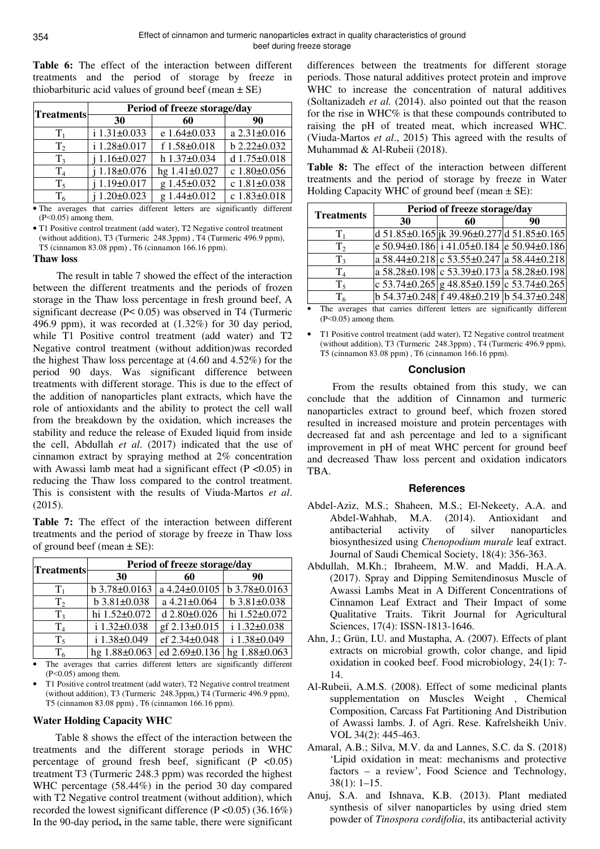**Table 6:** The effect of the interaction between different treatments and the period of storage by freeze in thiobarbituric acid values of ground beef (mean  $\pm$  SE)

| <b>Treatments</b> | Period of freeze storage/day |               |                    |
|-------------------|------------------------------|---------------|--------------------|
|                   | 30                           | 60            | 90                 |
| $T_{1}$           | i 1.31±0.033                 | e 1.64±0.033  | a 2.31±0.016       |
| T <sub>2</sub>    | i 1.28±0.017                 | f 1.58±0.018  | b 2.22±0.032       |
| $T_3$             | $1.16 \pm 0.027$             | h 1.37±0.034  | d 1.75±0.018       |
| T <sub>4</sub>    | $1.18 \pm 0.076$             | hg 1.41±0.027 | c 1.80±0.056       |
| $T_5$             | $1.19 \pm 0.017$             | g 1.45±0.032  | c $1.81 \pm 0.038$ |
| $\mathrm{T}_6$    | $1.20 \pm 0.023$             | g 1.44±0.012  | c 1.83±0.018       |

• The averages that carries different letters are significantly different  $(P<0.05)$  among them.

• T1 Positive control treatment (add water), T2 Negative control treatment (without addition), T3 (Turmeric  $248.3$ ppm), T4 (Turmeric  $496.9$  ppm), T5 (cinnamon 83.08 ppm), T6 (cinnamon 166.16 ppm).

#### **Thaw loss**

 The result in table 7 showed the effect of the interaction between the different treatments and the periods of frozen storage in the Thaw loss percentage in fresh ground beef, A significant decrease (P< 0.05) was observed in T4 (Turmeric 496.9 ppm), it was recorded at (1.32%) for 30 day period, while T1 Positive control treatment (add water) and T2 Negative control treatment (without addition)was recorded the highest Thaw loss percentage at (4.60 and 4.52%) for the period 90 days. Was significant difference between treatments with different storage. This is due to the effect of the addition of nanoparticles plant extracts, which have the role of antioxidants and the ability to protect the cell wall from the breakdown by the oxidation, which increases the stability and reduce the release of Exuded liquid from inside the cell, Abdullah *et al*. (2017) indicated that the use of cinnamon extract by spraying method at 2% concentration with Awassi lamb meat had a significant effect ( $P \le 0.05$ ) in reducing the Thaw loss compared to the control treatment. This is consistent with the results of Viuda-Martos *et al*. (2015).

**Table 7:** The effect of the interaction between different treatments and the period of storage by freeze in Thaw loss of ground beef (mean  $\pm$  SE):

| <b>Treatments</b> | Period of freeze storage/day |                    |                      |  |
|-------------------|------------------------------|--------------------|----------------------|--|
|                   | 30                           | 60                 | 90                   |  |
| $T_{1}$           | b 3.78±0.0163                | a 4.24±0.0105      | b 3.78±0.0163        |  |
| T <sub>2</sub>    | $b$ 3.81 $\pm$ 0.038         | a 4.21±0.064       | $b$ 3.81 $\pm$ 0.038 |  |
| $T_{3}$           | hi 1.52±0.072                | d $2.80 \pm 0.026$ | hi 1.52±0.072        |  |
| $\rm T_4$         | i 1.32±0.038                 | gf 2.13±0.015      | $i 1.32 \pm 0.038$   |  |
| $T_5$             | i 1.38±0.049                 | ef 2.34±0.048      | i 1.38±0.049         |  |
| $T_{6}$           | hg 1.88±0.063                | ed 2.69±0.136      | hg 1.88±0.063        |  |

The averages that carries different letters are significantly different (P<0.05) among them.

• T1 Positive control treatment (add water), T2 Negative control treatment (without addition), T3 (Turmeric 248.3ppm,) T4 (Turmeric 496.9 ppm), T5 (cinnamon 83.08 ppm), T6 (cinnamon 166.16 ppm).

### **Water Holding Capacity WHC**

Table 8 shows the effect of the interaction between the treatments and the different storage periods in WHC percentage of ground fresh beef, significant  $(P \le 0.05)$ treatment T3 (Turmeric 248.3 ppm) was recorded the highest WHC percentage (58.44%) in the period 30 day compared with T2 Negative control treatment (without addition), which recorded the lowest significant difference (P <0.05) (36.16%) In the 90-day period, in the same table, there were significant

differences between the treatments for different storage periods. Those natural additives protect protein and improve WHC to increase the concentration of natural additives (Soltanizadeh *et al.* (2014). also pointed out that the reason for the rise in WHC% is that these compounds contributed to raising the pH of treated meat, which increased WHC. (Viuda-Martos *et al*., 2015) This agreed with the results of Muhammad & Al-Rubeii (2018).

**Table 8:** The effect of the interaction between different treatments and the period of storage by freeze in Water Holding Capacity WHC of ground beef (mean  $\pm$  SE):

| <b>Treatments</b> | Period of freeze storage/day |                                                        |    |
|-------------------|------------------------------|--------------------------------------------------------|----|
|                   | <b>30</b>                    | 60                                                     | 90 |
| т.                |                              | d 51.85±0.165 jk 39.96±0.277 d 51.85±0.165             |    |
| T <sub>2</sub>    |                              | e 50.94±0.186 i 41.05±0.184 e 50.94±0.186              |    |
| T <sub>3</sub>    |                              | $\overline{a}$ 58.44±0.218 c 53.55±0.247 a 58.44±0.218 |    |
| T <sub>4</sub>    |                              | a 58.28±0.198 c 53.39±0.173 a 58.28±0.198              |    |
| $T_5$             |                              | c $53.74\pm0.265$ g $48.85\pm0.159$ c $53.74\pm0.265$  |    |
| T <sub>6</sub>    |                              | $b$ 54.37±0.248 f 49.48±0.219 b 54.37±0.248            |    |

• The averages that carries different letters are significantly different (P<0.05) among them.

• T1 Positive control treatment (add water), T2 Negative control treatment (without addition), T3 (Turmeric 248.3ppm), T4 (Turmeric 496.9 ppm), T5 (cinnamon  $83.08$  ppm), T6 (cinnamon 166.16 ppm).

#### **Conclusion**

 From the results obtained from this study, we can conclude that the addition of Cinnamon and turmeric nanoparticles extract to ground beef, which frozen stored resulted in increased moisture and protein percentages with decreased fat and ash percentage and led to a significant improvement in pH of meat WHC percent for ground beef and decreased Thaw loss percent and oxidation indicators TBA.

### **References**

- Abdel-Aziz, M.S.; Shaheen, M.S.; El-Nekeety, A.A. and Abdel-Wahhab, M.A. (2014). Antioxidant and antibacterial activity of silver nanoparticles biosynthesized using *Chenopodium murale* leaf extract. Journal of Saudi Chemical Society, 18(4): 356-363.
- Abdullah, M.Kh.; Ibraheem, M.W. and Maddi, H.A.A. (2017). Spray and Dipping Semitendinosus Muscle of Awassi Lambs Meat in A Different Concentrations of Cinnamon Leaf Extract and Their Impact of some Qualitative Traits. Tikrit Journal for Agricultural Sciences, 17(4): ISSN-1813-1646.
- Ahn, J.; Grün, I.U. and Mustapha, A. (2007). Effects of plant extracts on microbial growth, color change, and lipid oxidation in cooked beef. Food microbiology, 24(1): 7- 14.
- Al-Rubeii, A.M.S. (2008). Effect of some medicinal plants supplementation on Muscles Weight , Chemical Composition, Carcass Fat Partitioning And Distribution of Awassi lambs. J. of Agri. Rese. Kafrelsheikh Univ. VOL 34(2): 445-463.
- Amaral, A.B.; Silva, M.V. da and Lannes, S.C. da S. (2018) 'Lipid oxidation in meat: mechanisms and protective factors – a review', Food Science and Technology, 38(1): 1–15.
- Anuj, S.A. and Ishnava, K.B. (2013). Plant mediated synthesis of silver nanoparticles by using dried stem powder of *Tinospora cordifolia*, its antibacterial activity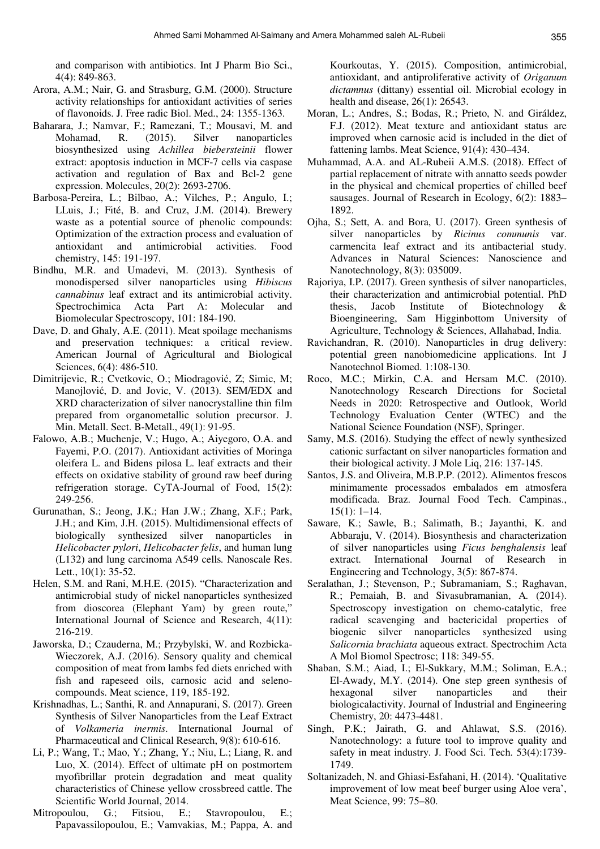and comparison with antibiotics. Int J Pharm Bio Sci., 4(4): 849-863.

- Arora, A.M.; Nair, G. and Strasburg, G.M. (2000). Structure activity relationships for antioxidant activities of series of flavonoids. J. Free radic Biol. Med., 24: 1355-1363.
- Baharara, J.; Namvar, F.; Ramezani, T.; Mousavi, M. and Mohamad, R. (2015). Silver nanoparticles biosynthesized using *Achillea biebersteinii* flower extract: apoptosis induction in MCF-7 cells via caspase activation and regulation of Bax and Bcl-2 gene expression. Molecules, 20(2): 2693-2706.
- Barbosa-Pereira, L.; Bilbao, A.; Vilches, P.; Angulo, I.; LLuis, J.; Fité, B. and Cruz, J.M. (2014). Brewery waste as a potential source of phenolic compounds: Optimization of the extraction process and evaluation of antioxidant and antimicrobial activities. Food chemistry, 145: 191-197.
- Bindhu, M.R. and Umadevi, M. (2013). Synthesis of monodispersed silver nanoparticles using *Hibiscus cannabinus* leaf extract and its antimicrobial activity. Spectrochimica Acta Part A: Molecular and Biomolecular Spectroscopy, 101: 184-190.
- Dave, D. and Ghaly, A.E. (2011). Meat spoilage mechanisms and preservation techniques: a critical review. American Journal of Agricultural and Biological Sciences, 6(4): 486-510.
- Dimitrijevic, R.; Cvetkovic, O.; Miodragović, Z; Simic, M; Manojlović, D. and Jovic, V. (2013). SEM/EDX and XRD characterization of silver nanocrystalline thin film prepared from organometallic solution precursor. J. Min. Metall. Sect. B-Metall., 49(1): 91-95.
- Falowo, A.B.; Muchenje, V.; Hugo, A.; Aiyegoro, O.A. and Fayemi, P.O. (2017). Antioxidant activities of Moringa oleifera L. and Bidens pilosa L. leaf extracts and their effects on oxidative stability of ground raw beef during refrigeration storage. CyTA-Journal of Food, 15(2): 249-256.
- Gurunathan, S.; Jeong, J.K.; Han J.W.; Zhang, X.F.; Park, J.H.; and Kim, J.H. (2015). Multidimensional effects of biologically synthesized silver nanoparticles in *Helicobacter pylori*, *Helicobacter felis*, and human lung (L132) and lung carcinoma A549 cells*.* Nanoscale Res. Lett., 10(1): 35-52.
- Helen, S.M. and Rani, M.H.E. (2015). "Characterization and antimicrobial study of nickel nanoparticles synthesized from dioscorea (Elephant Yam) by green route," International Journal of Science and Research, 4(11): 216-219.
- Jaworska, D.; Czauderna, M.; Przybylski, W. and Rozbicka-Wieczorek, A.J. (2016). Sensory quality and chemical composition of meat from lambs fed diets enriched with fish and rapeseed oils, carnosic acid and selenocompounds. Meat science, 119, 185-192.
- Krishnadhas, L.; Santhi, R. and Annapurani, S. (2017). Green Synthesis of Silver Nanoparticles from the Leaf Extract of *Volkameria inermis*. International Journal of Pharmaceutical and Clinical Research, 9(8): 610-616.
- Li, P.; Wang, T.; Mao, Y.; Zhang, Y.; Niu, L.; Liang, R. and Luo, X. (2014). Effect of ultimate pH on postmortem myofibrillar protein degradation and meat quality characteristics of Chinese yellow crossbreed cattle. The Scientific World Journal, 2014.
- Mitropoulou, G.; Fitsiou, E.; Stavropoulou, E.; Papavassilopoulou, E.; Vamvakias, M.; Pappa, A. and

Kourkoutas, Y. (2015). Composition, antimicrobial, antioxidant, and antiproliferative activity of *Origanum dictamnus* (dittany) essential oil. Microbial ecology in health and disease, 26(1): 26543.

- Moran, L.; Andres, S.; Bodas, R.; Prieto, N. and Giráldez, F.J. (2012). Meat texture and antioxidant status are improved when carnosic acid is included in the diet of fattening lambs. Meat Science, 91(4): 430–434.
- Muhammad, A.A. and AL-Rubeii A.M.S. (2018). Effect of partial replacement of nitrate with annatto seeds powder in the physical and chemical properties of chilled beef sausages. Journal of Research in Ecology, 6(2): 1883– 1892.
- Ojha, S.; Sett, A. and Bora, U. (2017). Green synthesis of silver nanoparticles by *Ricinus communis* var. carmencita leaf extract and its antibacterial study. Advances in Natural Sciences: Nanoscience and Nanotechnology, 8(3): 035009.
- Rajoriya, I.P. (2017). Green synthesis of silver nanoparticles, their characterization and antimicrobial potential. PhD thesis, Jacob Institute of Biotechnology & Bioengineering, Sam Higginbottom University of Agriculture, Technology & Sciences, Allahabad, India.
- Ravichandran, R. (2010). Nanoparticles in drug delivery: potential green nanobiomedicine applications. Int J Nanotechnol Biomed. 1:108-130.
- Roco, M.C.; Mirkin, C.A. and Hersam M.C. (2010). Nanotechnology Research Directions for Societal Needs in 2020: Retrospective and Outlook, World Technology Evaluation Center (WTEC) and the National Science Foundation (NSF), Springer.
- Samy, M.S. (2016). Studying the effect of newly synthesized cationic surfactant on silver nanoparticles formation and their biological activity. J Mole Liq, 216: 137-145.
- Santos, J.S. and Oliveira, M.B.P.P. (2012). Alimentos frescos minimamente processados embalados em atmosfera modificada. Braz. Journal Food Tech. Campinas., 15(1): 1–14.
- Saware, K.; Sawle, B.; Salimath, B.; Jayanthi, K. and Abbaraju, V. (2014). Biosynthesis and characterization of silver nanoparticles using *Ficus benghalensis* leaf extract. International Journal of Research in Engineering and Technology, 3(5): 867-874.
- Seralathan, J.; Stevenson, P.; Subramaniam, S.; Raghavan, R.; Pemaiah, B. and Sivasubramanian, A*.* (2014). Spectroscopy investigation on chemo-catalytic, free radical scavenging and bactericidal properties of biogenic silver nanoparticles synthesized using *Salicornia brachiata* aqueous extract. Spectrochim Acta A Mol Biomol Spectrosc; 118: 349-55.
- Shaban, S.M.; Aiad, I.; El-Sukkary, M.M.; Soliman, E.A.; El-Awady, M.Y. (2014). One step green synthesis of hexagonal silver nanoparticles and their biologicalactivity. Journal of Industrial and Engineering Chemistry, 20: 4473-4481.
- Singh, P.K.; Jairath, G. and Ahlawat, S.S. (2016). Nanotechnology: a future tool to improve quality and safety in meat industry. J. Food Sci. Tech. 53(4):1739- 1749.
- Soltanizadeh, N. and Ghiasi-Esfahani, H. (2014). 'Qualitative improvement of low meat beef burger using Aloe vera', Meat Science, 99: 75–80.